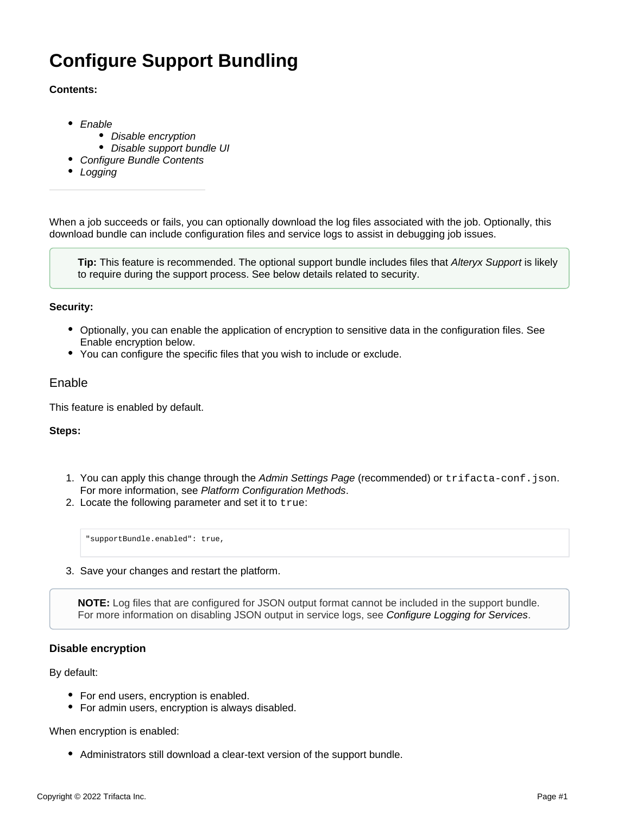# **Configure Support Bundling**

#### **Contents:**

- [Enable](#page-0-0)
	- [Disable encryption](#page-0-1)
	- [Disable support bundle UI](#page-1-0)
	- [Configure Bundle Contents](#page-1-1)
- [Logging](#page-2-0)

When a job succeeds or fails, you can optionally download the log files associated with the job. Optionally, this download bundle can include configuration files and service logs to assist in debugging job issues.

**Tip:** This feature is recommended. The optional support bundle includes files that [Alteryx Support](https://docs.trifacta.com/display/HOME/Contact+Support) is likely to require during the support process. See below details related to security.

#### **Security:**

- Optionally, you can enable the application of encryption to sensitive data in the configuration files. See Enable encryption below.
- You can configure the specific files that you wish to include or exclude.

## <span id="page-0-0"></span>Enable

This feature is enabled by default.

#### **Steps:**

- 1. You can apply this change through the [Admin Settings Page](https://docs.trifacta.com/display/r082/Admin+Settings+Page) (recommended) or trifacta-conf.json. For more information, see [Platform Configuration Methods](https://docs.trifacta.com/display/r082/Platform+Configuration+Methods).
- 2. Locate the following parameter and set it to true:

"supportBundle.enabled": true,

3. Save your changes and restart the platform.

**NOTE:** Log files that are configured for JSON output format cannot be included in the support bundle. For more information on disabling JSON output in service logs, see [Configure Logging for Services](https://docs.trifacta.com/display/r082/Configure+Logging+for+Services).

#### <span id="page-0-1"></span>**Disable encryption**

By default:

- For end users, encryption is enabled.
- For admin users, encryption is always disabled.

When encryption is enabled:

• Administrators still download a clear-text version of the support bundle.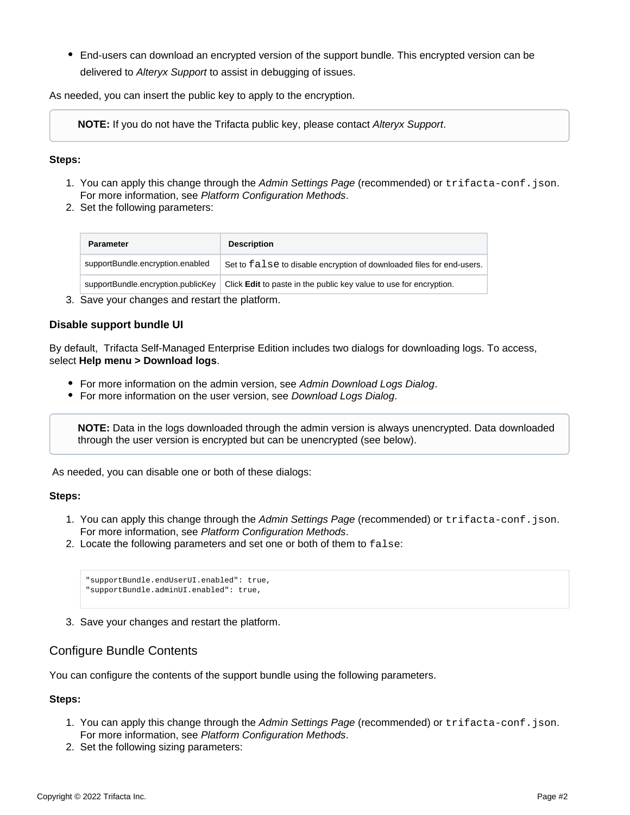End-users can download an encrypted version of the support bundle. This encrypted version can be delivered to [Alteryx Support](https://docs.trifacta.com/display/HOME/Contact+Support) to assist in debugging of issues.

As needed, you can insert the public key to apply to the encryption.

**NOTE:** If you do not have the Trifacta public key, please contact [Alteryx Support](https://docs.trifacta.com/display/HOME/Contact+Support).

#### **Steps:**

- 1. You can apply this change through the [Admin Settings Page](https://docs.trifacta.com/display/r082/Admin+Settings+Page) (recommended) or trifacta-conf.json. For more information, see [Platform Configuration Methods](https://docs.trifacta.com/display/r082/Platform+Configuration+Methods).
- 2. Set the following parameters:

| <b>Parameter</b>                   | <b>Description</b>                                                        |
|------------------------------------|---------------------------------------------------------------------------|
| supportBundle.encryption.enabled   | Set to false to disable encryption of downloaded files for end-users.     |
| supportBundle.encryption.publicKey | Click <b>Edit</b> to paste in the public key value to use for encryption. |

3. Save your changes and restart the platform.

#### <span id="page-1-0"></span>**Disable support bundle UI**

By default, Trifacta Self-Managed Enterprise Edition includes two dialogs for downloading logs. To access, select **Help menu > Download logs**.

- For more information on the admin version, see [Admin Download Logs Dialog](https://docs.trifacta.com/display/r082/Admin+Download+Logs+Dialog).
- For more information on the user version, see [Download Logs Dialog](https://docs.trifacta.com/display/r082/Download+Logs+Dialog).

**NOTE:** Data in the logs downloaded through the admin version is always unencrypted. Data downloaded through the user version is encrypted but can be unencrypted (see below).

As needed, you can disable one or both of these dialogs:

#### **Steps:**

- 1. You can apply this change through the [Admin Settings Page](https://docs.trifacta.com/display/r082/Admin+Settings+Page) (recommended) or trifacta-conf.json. For more information, see [Platform Configuration Methods](https://docs.trifacta.com/display/r082/Platform+Configuration+Methods).
- 2. Locate the following parameters and set one or both of them to false:

```
"supportBundle.endUserUI.enabled": true,
"supportBundle.adminUI.enabled": true,
```
3. Save your changes and restart the platform.

### <span id="page-1-1"></span>Configure Bundle Contents

You can configure the contents of the support bundle using the following parameters.

# **Steps:**

- 1. You can apply this change through the [Admin Settings Page](https://docs.trifacta.com/display/r082/Admin+Settings+Page) (recommended) or trifacta-conf.json. For more information, see [Platform Configuration Methods](https://docs.trifacta.com/display/r082/Platform+Configuration+Methods).
- 2. Set the following sizing parameters: